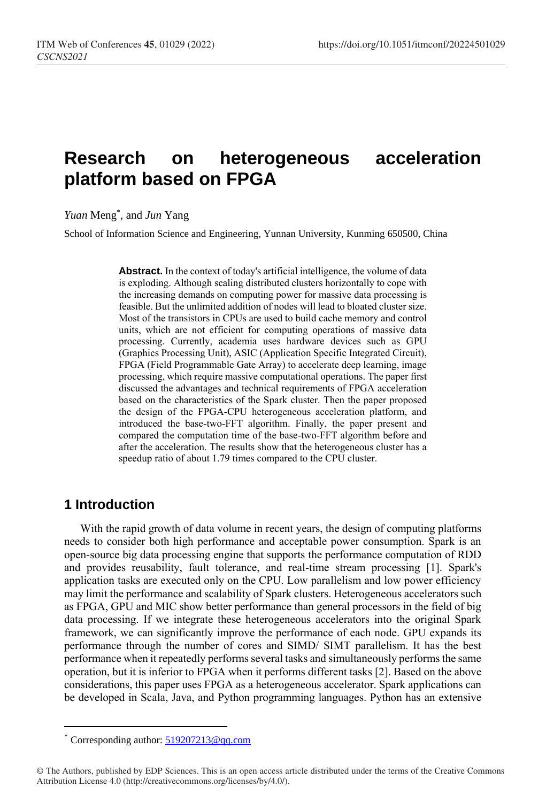# **Research on heterogeneous acceleration platform based on FPGA**

*Yuan* Meng\* , and *Jun* Yang

School of Information Science and Engineering, Yunnan University, Kunming 650500, China

**Abstract.** In the context of today's artificial intelligence, the volume of data is exploding. Although scaling distributed clusters horizontally to cope with the increasing demands on computing power for massive data processing is feasible. But the unlimited addition of nodes will lead to bloated cluster size. Most of the transistors in CPUs are used to build cache memory and control units, which are not efficient for computing operations of massive data processing. Currently, academia uses hardware devices such as GPU (Graphics Processing Unit), ASIC (Application Specific Integrated Circuit), FPGA (Field Programmable Gate Array) to accelerate deep learning, image processing, which require massive computational operations. The paper first discussed the advantages and technical requirements of FPGA acceleration based on the characteristics of the Spark cluster. Then the paper proposed the design of the FPGA-CPU heterogeneous acceleration platform, and introduced the base-two-FFT algorithm. Finally, the paper present and compared the computation time of the base-two-FFT algorithm before and after the acceleration. The results show that the heterogeneous cluster has a speedup ratio of about 1.79 times compared to the CPU cluster.

# **1 Introduction**

 $\overline{a}$ 

With the rapid growth of data volume in recent years, the design of computing platforms needs to consider both high performance and acceptable power consumption. Spark is an open-source big data processing engine that supports the performance computation of RDD and provides reusability, fault tolerance, and real-time stream processing [1]. Spark's application tasks are executed only on the CPU. Low parallelism and low power efficiency may limit the performance and scalability of Spark clusters. Heterogeneous accelerators such as FPGA, GPU and MIC show better performance than general processors in the field of big data processing. If we integrate these heterogeneous accelerators into the original Spark framework, we can significantly improve the performance of each node. GPU expands its performance through the number of cores and SIMD/ SIMT parallelism. It has the best performance when it repeatedly performs several tasks and simultaneously performs the same operation, but it is inferior to FPGA when it performs different tasks [2]. Based on the above considerations, this paper uses FPGA as a heterogeneous accelerator. Spark applications can be developed in Scala, Java, and Python programming languages. Python has an extensive

Corresponding author: [519207213@qq.com](mailto:519207213@qq.com)

<sup>©</sup> The Authors, published by EDP Sciences. This is an open access article distributed under the terms of the Creative Commons Attribution License 4.0 (http://creativecommons.org/licenses/by/4.0/).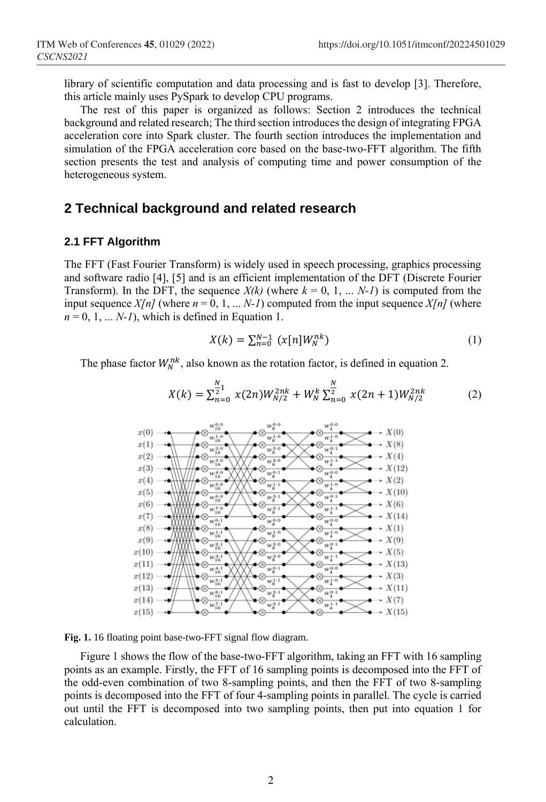library of scientific computation and data processing and is fast to develop [3]. Therefore, this article mainly uses PySpark to develop CPU programs.

The rest of this paper is organized as follows: Section 2 introduces the technical background and related research; The third section introduces the design of integrating FPGA acceleration core into Spark cluster. The fourth section introduces the implementation and simulation of the FPGA acceleration core based on the base-two-FFT algorithm. The fifth section presents the test and analysis of computing time and power consumption of the heterogeneous system.

### **2 Technical background and related research**

#### **2.1 FFT Algorithm**

The FFT (Fast Fourier Transform) is widely used in speech processing, graphics processing and software radio [4], [5] and is an efficient implementation of the DFT (Discrete Fourier Transform). In the DFT, the sequence  $X(k)$  (where  $k = 0, 1, \ldots N-1$ ) is computed from the input sequence  $X[n]$  (where  $n = 0, 1, \ldots N-1$ ) computed from the input sequence  $X[n]$  (where  $n = 0, 1, \ldots N-1$ , which is defined in Equation 1.

$$
X(k) = \sum_{n=0}^{N-1} (x[n]W_N^{nk})
$$
 (1)

The phase factor  $W_N^{nk}$ , also known as the rotation factor, is defined in equation 2.

$$
X(k) = \sum_{n=0}^{\frac{N}{2}1} x(2n)W_{N/2}^{2nk} + W_N^k \sum_{n=0}^{\frac{N}{2}} x(2n+1)W_{N/2}^{2nk}
$$
 (2)



**Fig. 1.** 16 floating point base-two-FFT signal flow diagram.

Figure 1 shows the flow of the base-two-FFT algorithm, taking an FFT with 16 sampling points as an example. Firstly, the FFT of 16 sampling points is decomposed into the FFT of the odd-even combination of two 8-sampling points, and then the FFT of two 8-sampling points is decomposed into the FFT of four 4-sampling points in parallel. The cycle is carried out until the FFT is decomposed into two sampling points, then put into equation 1 for calculation.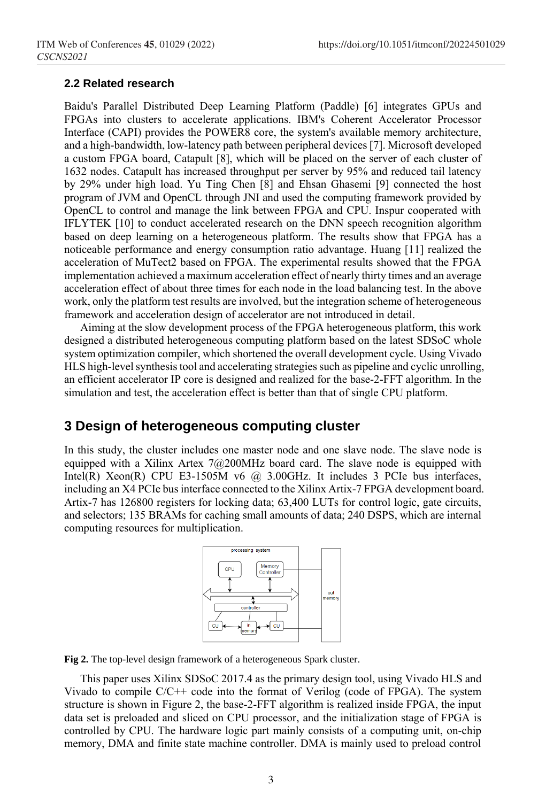#### **2.2 Related research**

Baidu's Parallel Distributed Deep Learning Platform (Paddle) [6] integrates GPUs and FPGAs into clusters to accelerate applications. IBM's Coherent Accelerator Processor Interface (CAPI) provides the POWER8 core, the system's available memory architecture, and a high-bandwidth, low-latency path between peripheral devices [7]. Microsoft developed a custom FPGA board, Catapult [8], which will be placed on the server of each cluster of 1632 nodes. Catapult has increased throughput per server by 95% and reduced tail latency by 29% under high load. Yu Ting Chen [8] and Ehsan Ghasemi [9] connected the host program of JVM and OpenCL through JNI and used the computing framework provided by OpenCL to control and manage the link between FPGA and CPU. Inspur cooperated with IFLYTEK [10] to conduct accelerated research on the DNN speech recognition algorithm based on deep learning on a heterogeneous platform. The results show that FPGA has a noticeable performance and energy consumption ratio advantage. Huang [11] realized the acceleration of MuTect2 based on FPGA. The experimental results showed that the FPGA implementation achieved a maximum acceleration effect of nearly thirty times and an average acceleration effect of about three times for each node in the load balancing test. In the above work, only the platform test results are involved, but the integration scheme of heterogeneous framework and acceleration design of accelerator are not introduced in detail.

Aiming at the slow development process of the FPGA heterogeneous platform, this work designed a distributed heterogeneous computing platform based on the latest SDSoC whole system optimization compiler, which shortened the overall development cycle. Using Vivado HLS high-level synthesis tool and accelerating strategies such as pipeline and cyclic unrolling, an efficient accelerator IP core is designed and realized for the base-2-FFT algorithm. In the simulation and test, the acceleration effect is better than that of single CPU platform.

## **3 Design of heterogeneous computing cluster**

In this study, the cluster includes one master node and one slave node. The slave node is equipped with a Xilinx Artex 7@200MHz board card. The slave node is equipped with Intel(R) Xeon(R) CPU E3-1505M v6  $@$  3.00GHz. It includes 3 PCIe bus interfaces, including an X4 PCIe bus interface connected to the Xilinx Artix-7 FPGA development board. Artix-7 has 126800 registers for locking data; 63,400 LUTs for control logic, gate circuits, and selectors; 135 BRAMs for caching small amounts of data; 240 DSPS, which are internal computing resources for multiplication.



**Fig 2.** The top-level design framework of a heterogeneous Spark cluster.

This paper uses Xilinx SDSoC 2017.4 as the primary design tool, using Vivado HLS and Vivado to compile C/C++ code into the format of Verilog (code of FPGA). The system structure is shown in Figure 2, the base-2-FFT algorithm is realized inside FPGA, the input data set is preloaded and sliced on CPU processor, and the initialization stage of FPGA is controlled by CPU. The hardware logic part mainly consists of a computing unit, on-chip memory, DMA and finite state machine controller. DMA is mainly used to preload control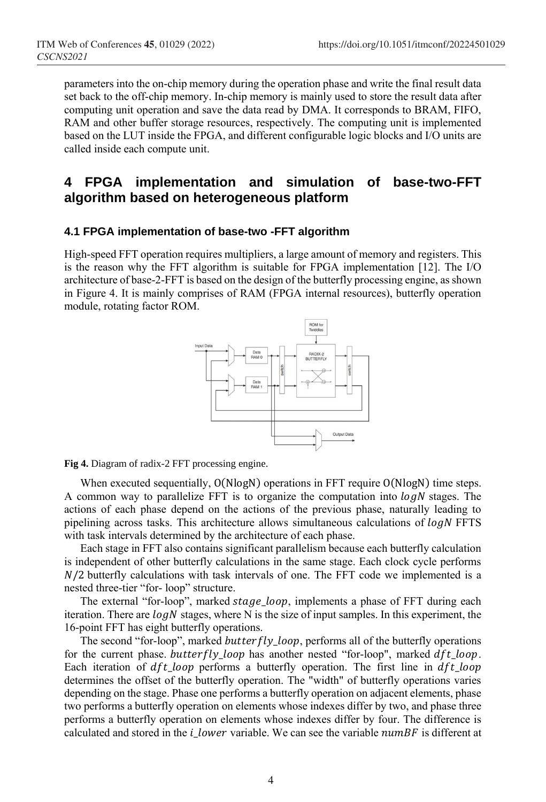parameters into the on-chip memory during the operation phase and write the final result data set back to the off-chip memory. In-chip memory is mainly used to store the result data after computing unit operation and save the data read by DMA. It corresponds to BRAM, FIFO, RAM and other buffer storage resources, respectively. The computing unit is implemented based on the LUT inside the FPGA, and different configurable logic blocks and I/O units are called inside each compute unit.

# **4 FPGA implementation and simulation of base-two-FFT algorithm based on heterogeneous platform**

#### **4.1 FPGA implementation of base-two -FFT algorithm**

High-speed FFT operation requires multipliers, a large amount of memory and registers. This is the reason why the FFT algorithm is suitable for FPGA implementation [12]. The I/O architecture of base-2-FFT is based on the design of the butterfly processing engine, as shown in Figure 4. It is mainly comprises of RAM (FPGA internal resources), butterfly operation module, rotating factor ROM.



**Fig 4.** Diagram of radix-2 FFT processing engine.

When executed sequentially,  $O(N \log N)$  operations in FFT require  $O(N \log N)$  time steps. A common way to parallelize FFT is to organize the computation into  $log N$  stages. The actions of each phase depend on the actions of the previous phase, naturally leading to pipelining across tasks. This architecture allows simultaneous calculations of  $log N$  FFTS with task intervals determined by the architecture of each phase.

Each stage in FFT also contains significant parallelism because each butterfly calculation is independent of other butterfly calculations in the same stage. Each clock cycle performs  $N/2$  butterfly calculations with task intervals of one. The FFT code we implemented is a nested three-tier "for- loop" structure.

The external "for-loop", marked stage\_loop, implements a phase of FFT during each iteration. There are  $log N$  stages, where N is the size of input samples. In this experiment, the 16-point FFT has eight butterfly operations.

The second "for-loop", marked *butterfly\_loop*, performs all of the butterfly operations for the current phase. butterfly loop has another nested "for-loop", marked  $dft\_loop$ . Each iteration of  $dft\_{loop}$  performs a butterfly operation. The first line in  $dft\_{loop}$ determines the offset of the butterfly operation. The "width" of butterfly operations varies depending on the stage. Phase one performs a butterfly operation on adjacent elements, phase two performs a butterfly operation on elements whose indexes differ by two, and phase three performs a butterfly operation on elements whose indexes differ by four. The difference is calculated and stored in the  $i_l$  lower variable. We can see the variable  $numBF$  is different at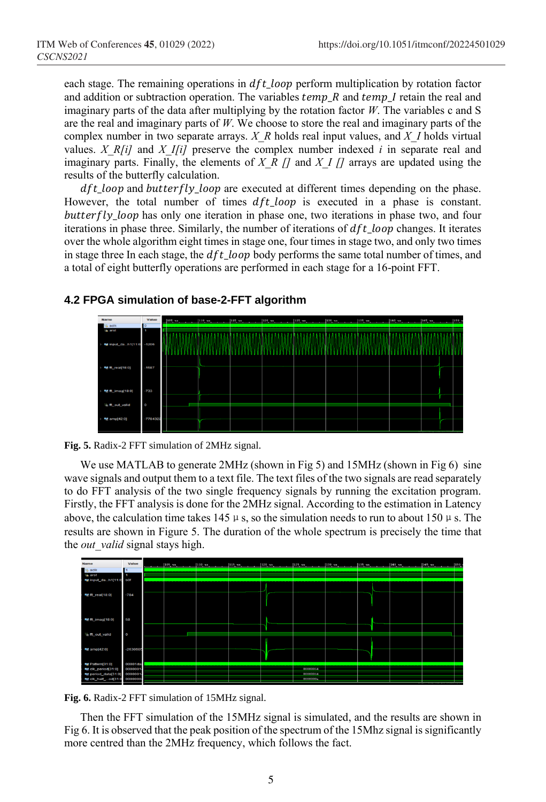each stage. The remaining operations in  $dft$  loop perform multiplication by rotation factor and addition or subtraction operation. The variables  $temp_R$  and  $temp_I$  retain the real and imaginary parts of the data after multiplying by the rotation factor *W*. The variables c and S are the real and imaginary parts of *W*. We choose to store the real and imaginary parts of the complex number in two separate arrays. *X\_R* holds real input values, and *X\_I* holds virtual values. *X\_R[i]* and *X\_I[i]* preserve the complex number indexed  $i$  in separate real and imaginary parts. Finally, the elements of *X\_R []* and *X\_I []* arrays are updated using the results of the butterfly calculation.

 $dft\_loop$  and  $butterfly\_loop$  are executed at different times depending on the phase. However, the total number of times  $dft\_loop$  is executed in a phase is constant.  $butterfly\_loop$  has only one iteration in phase one, two iterations in phase two, and four iterations in phase three. Similarly, the number of iterations of  $dft\_loop$  changes. It iterates over the whole algorithm eight times in stage one, four times in stage two, and only two times in stage three In each stage, the  $dft\_loop$  body performs the same total number of times, and a total of eight butterfly operations are performed in each stage for a 16-point FFT.

### **4.2 FPGA simulation of base-2-FFT algorithm**





We use MATLAB to generate 2MHz (shown in Fig 5) and 15MHz (shown in Fig 6) sine wave signals and output them to a text file. The text files of the two signals are read separately to do FFT analysis of the two single frequency signals by running the excitation program. Firstly, the FFT analysis is done for the 2MHz signal. According to the estimation in Latency above, the calculation time takes 145  $\mu$  s, so the simulation needs to run to about 150  $\mu$  s. The results are shown in Figure 5. The duration of the whole spectrum is precisely the time that the *out* valid signal stays high.





Then the FFT simulation of the 15MHz signal is simulated, and the results are shown in Fig 6. It is observed that the peak position of the spectrum of the 15Mhz signal is significantly more centred than the 2MHz frequency, which follows the fact.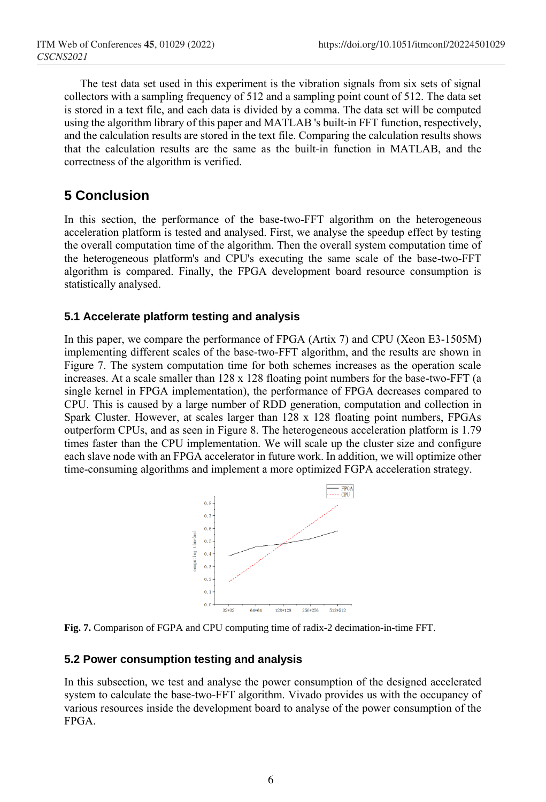The test data set used in this experiment is the vibration signals from six sets of signal collectors with a sampling frequency of 512 and a sampling point count of 512. The data set is stored in a text file, and each data is divided by a comma. The data set will be computed using the algorithm library of this paper and MATLAB 's built-in FFT function, respectively, and the calculation results are stored in the text file. Comparing the calculation results shows that the calculation results are the same as the built-in function in MATLAB, and the correctness of the algorithm is verified.

# **5 Conclusion**

In this section, the performance of the base-two-FFT algorithm on the heterogeneous acceleration platform is tested and analysed. First, we analyse the speedup effect by testing the overall computation time of the algorithm. Then the overall system computation time of the heterogeneous platform's and CPU's executing the same scale of the base-two-FFT algorithm is compared. Finally, the FPGA development board resource consumption is statistically analysed.

### **5.1 Accelerate platform testing and analysis**

In this paper, we compare the performance of FPGA (Artix 7) and CPU (Xeon E3-1505M) implementing different scales of the base-two-FFT algorithm, and the results are shown in Figure 7. The system computation time for both schemes increases as the operation scale increases. At a scale smaller than 128 x 128 floating point numbers for the base-two-FFT (a single kernel in FPGA implementation), the performance of FPGA decreases compared to CPU. This is caused by a large number of RDD generation, computation and collection in Spark Cluster. However, at scales larger than 128 x 128 floating point numbers, FPGAs outperform CPUs, and as seen in Figure 8. The heterogeneous acceleration platform is 1.79 times faster than the CPU implementation. We will scale up the cluster size and configure each slave node with an FPGA accelerator in future work. In addition, we will optimize other time-consuming algorithms and implement a more optimized FGPA acceleration strategy.





### **5.2 Power consumption testing and analysis**

In this subsection, we test and analyse the power consumption of the designed accelerated system to calculate the base-two-FFT algorithm. Vivado provides us with the occupancy of various resources inside the development board to analyse of the power consumption of the FPGA.